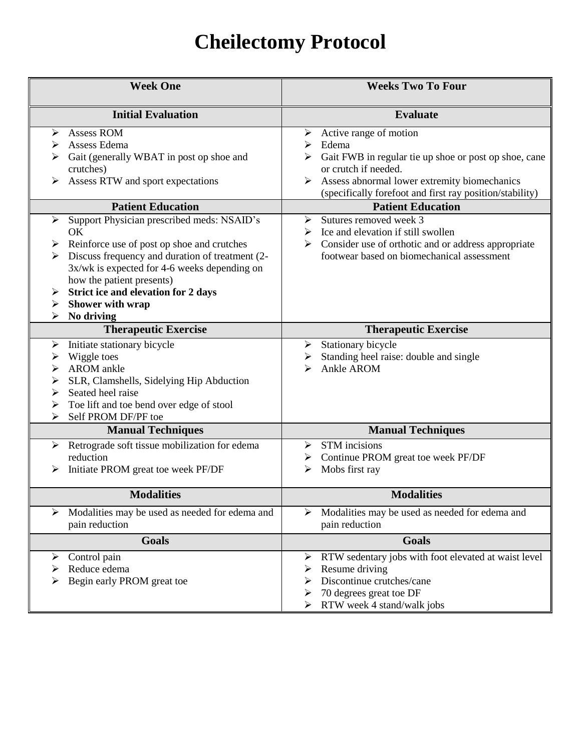# **Cheilectomy Protocol**

| <b>Week One</b>                                                                                                                                                                                                                                                                                                               | <b>Weeks Two To Four</b>                                                                                                                                                                                                               |
|-------------------------------------------------------------------------------------------------------------------------------------------------------------------------------------------------------------------------------------------------------------------------------------------------------------------------------|----------------------------------------------------------------------------------------------------------------------------------------------------------------------------------------------------------------------------------------|
| <b>Initial Evaluation</b>                                                                                                                                                                                                                                                                                                     | <b>Evaluate</b>                                                                                                                                                                                                                        |
| Assess ROM<br>➤<br>Assess Edema<br>➤<br>Gait (generally WBAT in post op shoe and<br>crutches)<br>Assess RTW and sport expectations                                                                                                                                                                                            | Active range of motion<br>➤<br>Edema<br>≻<br>Gait FWB in regular tie up shoe or post op shoe, cane<br>or crutch if needed.<br>Assess abnormal lower extremity biomechanics<br>(specifically forefoot and first ray position/stability) |
| <b>Patient Education</b>                                                                                                                                                                                                                                                                                                      | <b>Patient Education</b>                                                                                                                                                                                                               |
| Support Physician prescribed meds: NSAID's<br>➤<br>OK<br>$\triangleright$ Reinforce use of post op shoe and crutches<br>Discuss frequency and duration of treatment (2-<br>3x/wk is expected for 4-6 weeks depending on<br>how the patient presents)<br>Strict ice and elevation for 2 days<br>Shower with wrap<br>No driving | Sutures removed week 3<br>➤<br>$\triangleright$ Ice and elevation if still swollen<br>$\triangleright$ Consider use of orthotic and or address appropriate<br>footwear based on biomechanical assessment                               |
| <b>Therapeutic Exercise</b>                                                                                                                                                                                                                                                                                                   | <b>Therapeutic Exercise</b>                                                                                                                                                                                                            |
| Initiate stationary bicycle<br>➤<br>Wiggle toes<br>➤<br>AROM ankle<br>➤<br>$\blacktriangleright$<br>SLR, Clamshells, Sidelying Hip Abduction<br>Seated heel raise<br>➤<br>Toe lift and toe bend over edge of stool<br>Self PROM DF/PF toe                                                                                     | Stationary bicycle<br>➤<br>Standing heel raise: double and single<br>➤<br>Ankle AROM<br>⋗                                                                                                                                              |
| <b>Manual Techniques</b>                                                                                                                                                                                                                                                                                                      | <b>Manual Techniques</b>                                                                                                                                                                                                               |
| Retrograde soft tissue mobilization for edema<br>➤<br>reduction<br>Initiate PROM great toe week PF/DF                                                                                                                                                                                                                         | <b>STM</b> incisions<br>≻<br>Continue PROM great toe week PF/DF<br>➤<br>Mobs first ray<br>➤                                                                                                                                            |
| <b>Modalities</b>                                                                                                                                                                                                                                                                                                             | <b>Modalities</b>                                                                                                                                                                                                                      |
| Modalities may be used as needed for edema and<br>➤<br>pain reduction                                                                                                                                                                                                                                                         | Modalities may be used as needed for edema and<br>➤<br>pain reduction                                                                                                                                                                  |
| <b>Goals</b>                                                                                                                                                                                                                                                                                                                  | Goals                                                                                                                                                                                                                                  |
| Control pain<br>➤<br>Reduce edema<br>Begin early PROM great toe                                                                                                                                                                                                                                                               | RTW sedentary jobs with foot elevated at waist level<br>➤<br>Resume driving<br>➤<br>Discontinue crutches/cane<br>➤<br>70 degrees great toe DF<br>RTW week 4 stand/walk jobs                                                            |